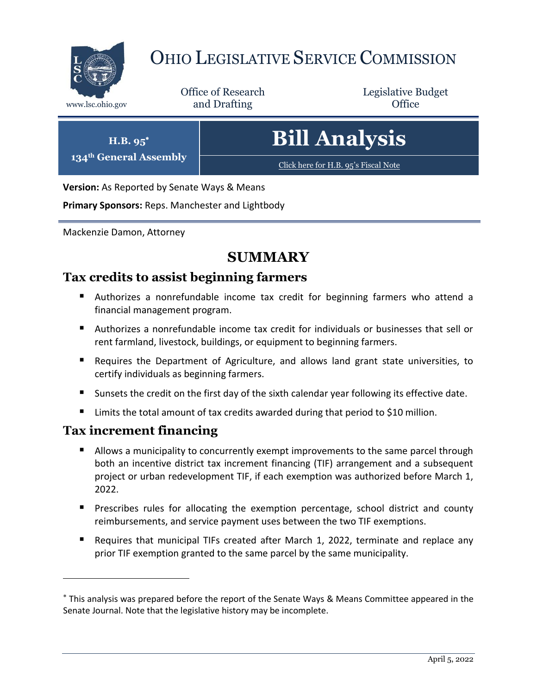

## OHIO LEGISLATIVE SERVICE COMMISSION

Office of Research www.lsc.ohio.gov **and Drafting Office** 

Legislative Budget

# **Bill Analysis**

[Click here for H.B. 95](https://www.legislature.ohio.gov/legislation/legislation-documents?id=GA134-HB-95)'s Fiscal Note

**Version:** As Reported by Senate Ways & Means

**Primary Sponsors:** Reps. Manchester and Lightbody

Mackenzie Damon, Attorney

**H.B. 95 134th General Assembly**

## **SUMMARY**

#### **Tax credits to assist beginning farmers**

- Authorizes a nonrefundable income tax credit for beginning farmers who attend a financial management program.
- Authorizes a nonrefundable income tax credit for individuals or businesses that sell or rent farmland, livestock, buildings, or equipment to beginning farmers.
- Requires the Department of Agriculture, and allows land grant state universities, to certify individuals as beginning farmers.
- Sunsets the credit on the first day of the sixth calendar year following its effective date.
- Limits the total amount of tax credits awarded during that period to \$10 million.

#### **Tax increment financing**

- **Allows a municipality to concurrently exempt improvements to the same parcel through** both an incentive district tax increment financing (TIF) arrangement and a subsequent project or urban redevelopment TIF, if each exemption was authorized before March 1, 2022.
- **Prescribes rules for allocating the exemption percentage, school district and county** reimbursements, and service payment uses between the two TIF exemptions.
- Requires that municipal TIFs created after March 1, 2022, terminate and replace any prior TIF exemption granted to the same parcel by the same municipality.

This analysis was prepared before the report of the Senate Ways & Means Committee appeared in the Senate Journal. Note that the legislative history may be incomplete.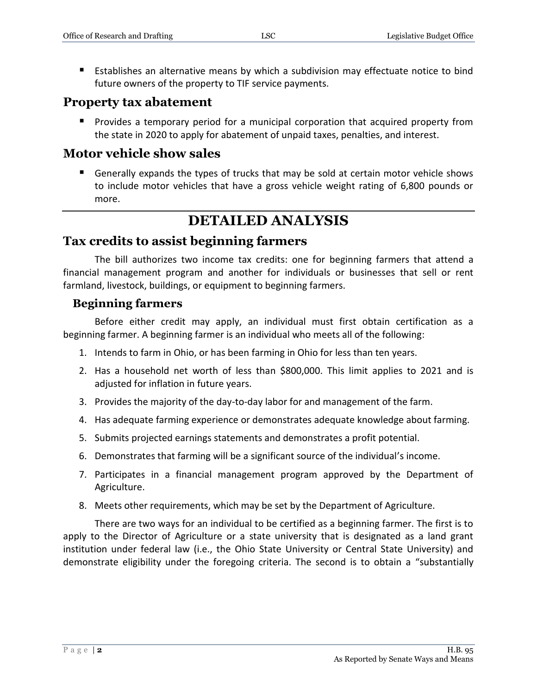Establishes an alternative means by which a subdivision may effectuate notice to bind future owners of the property to TIF service payments.

#### **Property tax abatement**

 Provides a temporary period for a municipal corporation that acquired property from the state in 2020 to apply for abatement of unpaid taxes, penalties, and interest.

#### **Motor vehicle show sales**

 Generally expands the types of trucks that may be sold at certain motor vehicle shows to include motor vehicles that have a gross vehicle weight rating of 6,800 pounds or more.

## **DETAILED ANALYSIS**

#### **Tax credits to assist beginning farmers**

The bill authorizes two income tax credits: one for beginning farmers that attend a financial management program and another for individuals or businesses that sell or rent farmland, livestock, buildings, or equipment to beginning farmers.

#### **Beginning farmers**

Before either credit may apply, an individual must first obtain certification as a beginning farmer. A beginning farmer is an individual who meets all of the following:

- 1. Intends to farm in Ohio, or has been farming in Ohio for less than ten years.
- 2. Has a household net worth of less than \$800,000. This limit applies to 2021 and is adjusted for inflation in future years.
- 3. Provides the majority of the day-to-day labor for and management of the farm.
- 4. Has adequate farming experience or demonstrates adequate knowledge about farming.
- 5. Submits projected earnings statements and demonstrates a profit potential.
- 6. Demonstrates that farming will be a significant source of the individual's income.
- 7. Participates in a financial management program approved by the Department of Agriculture.
- 8. Meets other requirements, which may be set by the Department of Agriculture.

There are two ways for an individual to be certified as a beginning farmer. The first is to apply to the Director of Agriculture or a state university that is designated as a land grant institution under federal law (i.e., the Ohio State University or Central State University) and demonstrate eligibility under the foregoing criteria. The second is to obtain a "substantially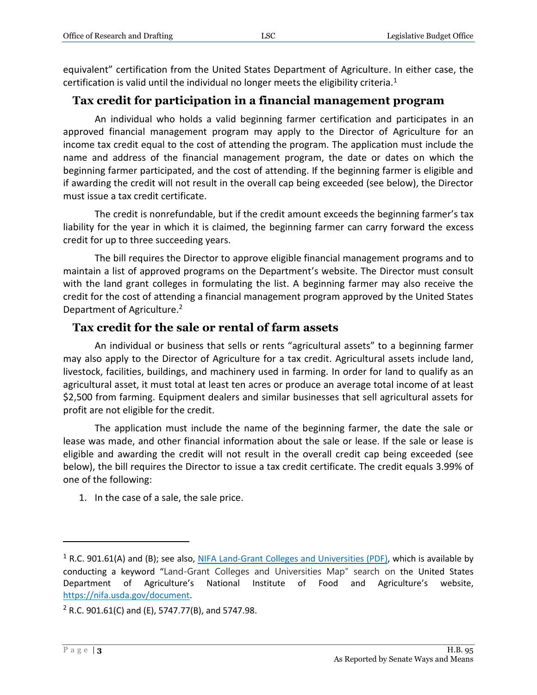equivalent" certification from the United States Department of Agriculture. In either case, the certification is valid until the individual no longer meets the eligibility criteria.<sup>1</sup>

#### **Tax credit for participation in a financial management program**

An individual who holds a valid beginning farmer certification and participates in an approved financial management program may apply to the Director of Agriculture for an income tax credit equal to the cost of attending the program. The application must include the name and address of the financial management program, the date or dates on which the beginning farmer participated, and the cost of attending. If the beginning farmer is eligible and if awarding the credit will not result in the overall cap being exceeded (see below), the Director must issue a tax credit certificate.

The credit is nonrefundable, but if the credit amount exceeds the beginning farmer's tax liability for the year in which it is claimed, the beginning farmer can carry forward the excess credit for up to three succeeding years.

The bill requires the Director to approve eligible financial management programs and to maintain a list of approved programs on the Department's website. The Director must consult with the land grant colleges in formulating the list. A beginning farmer may also receive the credit for the cost of attending a financial management program approved by the United States Department of Agriculture.<sup>2</sup>

#### **Tax credit for the sale or rental of farm assets**

An individual or business that sells or rents "agricultural assets" to a beginning farmer may also apply to the Director of Agriculture for a tax credit. Agricultural assets include land, livestock, facilities, buildings, and machinery used in farming. In order for land to qualify as an agricultural asset, it must total at least ten acres or produce an average total income of at least \$2,500 from farming. Equipment dealers and similar businesses that sell agricultural assets for profit are not eligible for the credit.

The application must include the name of the beginning farmer, the date the sale or lease was made, and other financial information about the sale or lease. If the sale or lease is eligible and awarding the credit will not result in the overall credit cap being exceeded (see below), the bill requires the Director to issue a tax credit certificate. The credit equals 3.99% of one of the following:

1. In the case of a sale, the sale price.

 $1$  R.C. 901.61(A) and (B); see also, [NIFA Land-Grant Colleges and Universities](https://nifa.usda.gov/sites/default/files/resource/LGU-Map-03-18-19.pdf) (PDF), which is available by conducting a keyword "Land-Grant Colleges and Universities Map" search on the United States Department of Agriculture's National Institute of Food and Agriculture's website, [https://nifa.usda.gov/document.](https://nifa.usda.gov/document)

 $2$  R.C. 901.61(C) and (E), 5747.77(B), and 5747.98.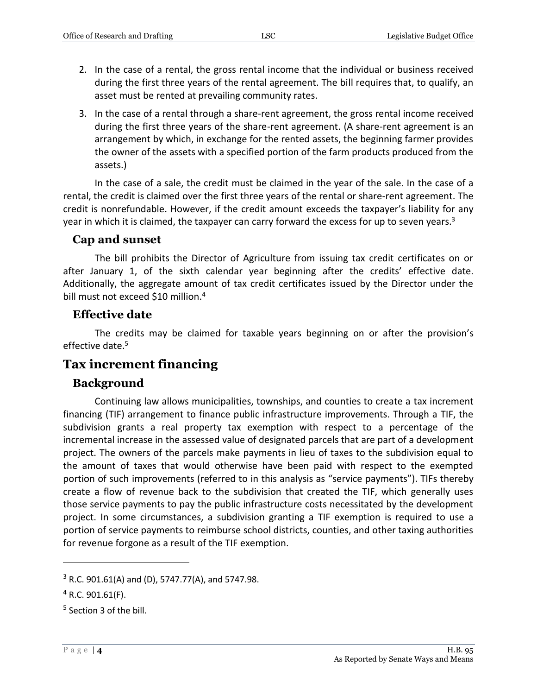- 2. In the case of a rental, the gross rental income that the individual or business received during the first three years of the rental agreement. The bill requires that, to qualify, an asset must be rented at prevailing community rates.
- 3. In the case of a rental through a share-rent agreement, the gross rental income received during the first three years of the share-rent agreement. (A share-rent agreement is an arrangement by which, in exchange for the rented assets, the beginning farmer provides the owner of the assets with a specified portion of the farm products produced from the assets.)

In the case of a sale, the credit must be claimed in the year of the sale. In the case of a rental, the credit is claimed over the first three years of the rental or share-rent agreement. The credit is nonrefundable. However, if the credit amount exceeds the taxpayer's liability for any year in which it is claimed, the taxpayer can carry forward the excess for up to seven years.<sup>3</sup>

#### **Cap and sunset**

The bill prohibits the Director of Agriculture from issuing tax credit certificates on or after January 1, of the sixth calendar year beginning after the credits' effective date. Additionally, the aggregate amount of tax credit certificates issued by the Director under the bill must not exceed \$10 million.<sup>4</sup>

#### **Effective date**

The credits may be claimed for taxable years beginning on or after the provision's effective date. 5

#### **Tax increment financing**

#### **Background**

Continuing law allows municipalities, townships, and counties to create a tax increment financing (TIF) arrangement to finance public infrastructure improvements. Through a TIF, the subdivision grants a real property tax exemption with respect to a percentage of the incremental increase in the assessed value of designated parcels that are part of a development project. The owners of the parcels make payments in lieu of taxes to the subdivision equal to the amount of taxes that would otherwise have been paid with respect to the exempted portion of such improvements (referred to in this analysis as "service payments"). TIFs thereby create a flow of revenue back to the subdivision that created the TIF, which generally uses those service payments to pay the public infrastructure costs necessitated by the development project. In some circumstances, a subdivision granting a TIF exemption is required to use a portion of service payments to reimburse school districts, counties, and other taxing authorities for revenue forgone as a result of the TIF exemption.

 $3$  R.C. 901.61(A) and (D), 5747.77(A), and 5747.98.

 $4$  R.C. 901.61(F).

<sup>&</sup>lt;sup>5</sup> Section 3 of the bill.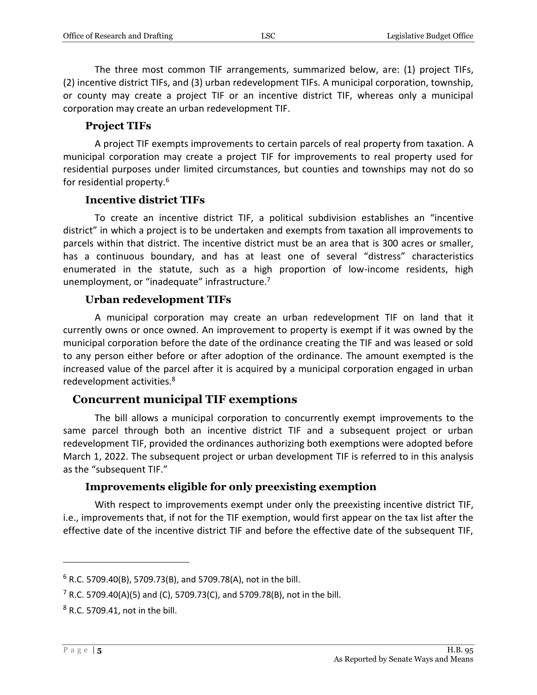The three most common TIF arrangements, summarized below, are: (1) project TIFs, (2) incentive district TIFs, and (3) urban redevelopment TIFs. A municipal corporation, township, or county may create a project TIF or an incentive district TIF, whereas only a municipal corporation may create an urban redevelopment TIF.

#### **Project TIFs**

A project TIF exempts improvements to certain parcels of real property from taxation. A municipal corporation may create a project TIF for improvements to real property used for residential purposes under limited circumstances, but counties and townships may not do so for residential property.<sup>6</sup>

#### **Incentive district TIFs**

To create an incentive district TIF, a political subdivision establishes an "incentive district" in which a project is to be undertaken and exempts from taxation all improvements to parcels within that district. The incentive district must be an area that is 300 acres or smaller, has a continuous boundary, and has at least one of several "distress" characteristics enumerated in the statute, such as a high proportion of low-income residents, high unemployment, or "inadequate" infrastructure.<sup>7</sup>

#### **Urban redevelopment TIFs**

A municipal corporation may create an urban redevelopment TIF on land that it currently owns or once owned. An improvement to property is exempt if it was owned by the municipal corporation before the date of the ordinance creating the TIF and was leased or sold to any person either before or after adoption of the ordinance. The amount exempted is the increased value of the parcel after it is acquired by a municipal corporation engaged in urban redevelopment activities.<sup>8</sup>

#### **Concurrent municipal TIF exemptions**

The bill allows a municipal corporation to concurrently exempt improvements to the same parcel through both an incentive district TIF and a subsequent project or urban redevelopment TIF, provided the ordinances authorizing both exemptions were adopted before March 1, 2022. The subsequent project or urban development TIF is referred to in this analysis as the "subsequent TIF."

#### **Improvements eligible for only preexisting exemption**

With respect to improvements exempt under only the preexisting incentive district TIF, i.e., improvements that, if not for the TIF exemption, would first appear on the tax list after the effective date of the incentive district TIF and before the effective date of the subsequent TIF,

 $6$  R.C. 5709.40(B), 5709.73(B), and 5709.78(A), not in the bill.

<sup>&</sup>lt;sup>7</sup> R.C. 5709.40(A)(5) and (C), 5709.73(C), and 5709.78(B), not in the bill.

<sup>8</sup> R.C. 5709.41, not in the bill.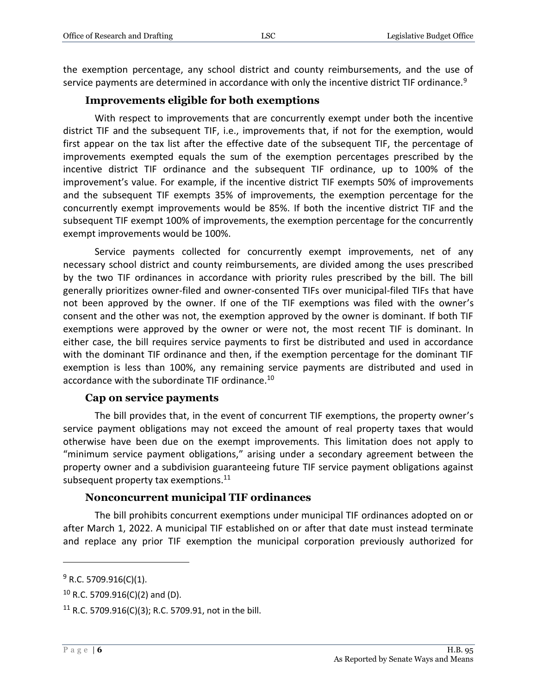the exemption percentage, any school district and county reimbursements, and the use of service payments are determined in accordance with only the incentive district TIF ordinance.<sup>9</sup>

#### **Improvements eligible for both exemptions**

With respect to improvements that are concurrently exempt under both the incentive district TIF and the subsequent TIF, i.e., improvements that, if not for the exemption, would first appear on the tax list after the effective date of the subsequent TIF, the percentage of improvements exempted equals the sum of the exemption percentages prescribed by the incentive district TIF ordinance and the subsequent TIF ordinance, up to 100% of the improvement's value. For example, if the incentive district TIF exempts 50% of improvements and the subsequent TIF exempts 35% of improvements, the exemption percentage for the concurrently exempt improvements would be 85%. If both the incentive district TIF and the subsequent TIF exempt 100% of improvements, the exemption percentage for the concurrently exempt improvements would be 100%.

Service payments collected for concurrently exempt improvements, net of any necessary school district and county reimbursements, are divided among the uses prescribed by the two TIF ordinances in accordance with priority rules prescribed by the bill. The bill generally prioritizes owner-filed and owner-consented TIFs over municipal-filed TIFs that have not been approved by the owner. If one of the TIF exemptions was filed with the owner's consent and the other was not, the exemption approved by the owner is dominant. If both TIF exemptions were approved by the owner or were not, the most recent TIF is dominant. In either case, the bill requires service payments to first be distributed and used in accordance with the dominant TIF ordinance and then, if the exemption percentage for the dominant TIF exemption is less than 100%, any remaining service payments are distributed and used in accordance with the subordinate TIF ordinance.<sup>10</sup>

#### **Cap on service payments**

The bill provides that, in the event of concurrent TIF exemptions, the property owner's service payment obligations may not exceed the amount of real property taxes that would otherwise have been due on the exempt improvements. This limitation does not apply to "minimum service payment obligations," arising under a secondary agreement between the property owner and a subdivision guaranteeing future TIF service payment obligations against subsequent property tax exemptions.<sup>11</sup>

#### **Nonconcurrent municipal TIF ordinances**

The bill prohibits concurrent exemptions under municipal TIF ordinances adopted on or after March 1, 2022. A municipal TIF established on or after that date must instead terminate and replace any prior TIF exemption the municipal corporation previously authorized for

 $9$  R.C. 5709.916(C)(1).

 $10$  R.C. 5709.916(C)(2) and (D).

<sup>&</sup>lt;sup>11</sup> R.C. 5709.916(C)(3); R.C. 5709.91, not in the bill.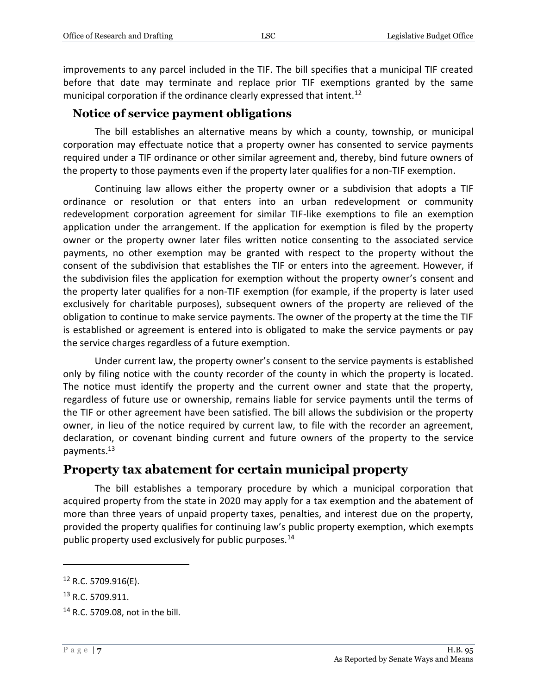improvements to any parcel included in the TIF. The bill specifies that a municipal TIF created before that date may terminate and replace prior TIF exemptions granted by the same municipal corporation if the ordinance clearly expressed that intent.<sup>12</sup>

#### **Notice of service payment obligations**

The bill establishes an alternative means by which a county, township, or municipal corporation may effectuate notice that a property owner has consented to service payments required under a TIF ordinance or other similar agreement and, thereby, bind future owners of the property to those payments even if the property later qualifies for a non-TIF exemption.

Continuing law allows either the property owner or a subdivision that adopts a TIF ordinance or resolution or that enters into an urban redevelopment or community redevelopment corporation agreement for similar TIF-like exemptions to file an exemption application under the arrangement. If the application for exemption is filed by the property owner or the property owner later files written notice consenting to the associated service payments, no other exemption may be granted with respect to the property without the consent of the subdivision that establishes the TIF or enters into the agreement. However, if the subdivision files the application for exemption without the property owner's consent and the property later qualifies for a non-TIF exemption (for example, if the property is later used exclusively for charitable purposes), subsequent owners of the property are relieved of the obligation to continue to make service payments. The owner of the property at the time the TIF is established or agreement is entered into is obligated to make the service payments or pay the service charges regardless of a future exemption.

Under current law, the property owner's consent to the service payments is established only by filing notice with the county recorder of the county in which the property is located. The notice must identify the property and the current owner and state that the property, regardless of future use or ownership, remains liable for service payments until the terms of the TIF or other agreement have been satisfied. The bill allows the subdivision or the property owner, in lieu of the notice required by current law, to file with the recorder an agreement, declaration, or covenant binding current and future owners of the property to the service payments.<sup>13</sup>

#### **Property tax abatement for certain municipal property**

The bill establishes a temporary procedure by which a municipal corporation that acquired property from the state in 2020 may apply for a tax exemption and the abatement of more than three years of unpaid property taxes, penalties, and interest due on the property, provided the property qualifies for continuing law's public property exemption, which exempts public property used exclusively for public purposes.<sup>14</sup>

 $12$  R.C. 5709.916(E).

<sup>&</sup>lt;sup>13</sup> R.C. 5709.911.

<sup>14</sup> R.C. 5709.08, not in the bill.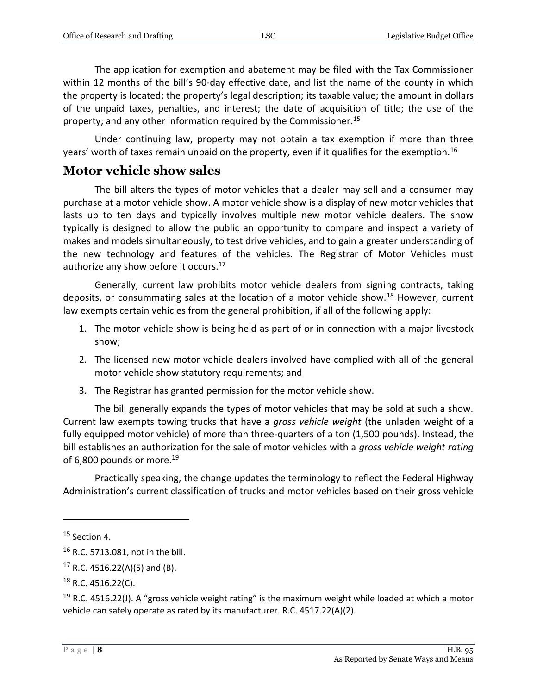The application for exemption and abatement may be filed with the Tax Commissioner within 12 months of the bill's 90-day effective date, and list the name of the county in which the property is located; the property's legal description; its taxable value; the amount in dollars of the unpaid taxes, penalties, and interest; the date of acquisition of title; the use of the property; and any other information required by the Commissioner.<sup>15</sup>

Under continuing law, property may not obtain a tax exemption if more than three years' worth of taxes remain unpaid on the property, even if it qualifies for the exemption.<sup>16</sup>

#### **Motor vehicle show sales**

The bill alters the types of motor vehicles that a dealer may sell and a consumer may purchase at a motor vehicle show. A motor vehicle show is a display of new motor vehicles that lasts up to ten days and typically involves multiple new motor vehicle dealers. The show typically is designed to allow the public an opportunity to compare and inspect a variety of makes and models simultaneously, to test drive vehicles, and to gain a greater understanding of the new technology and features of the vehicles. The Registrar of Motor Vehicles must authorize any show before it occurs.<sup>17</sup>

Generally, current law prohibits motor vehicle dealers from signing contracts, taking deposits, or consummating sales at the location of a motor vehicle show.<sup>18</sup> However, current law exempts certain vehicles from the general prohibition, if all of the following apply:

- 1. The motor vehicle show is being held as part of or in connection with a major livestock show;
- 2. The licensed new motor vehicle dealers involved have complied with all of the general motor vehicle show statutory requirements; and
- 3. The Registrar has granted permission for the motor vehicle show.

The bill generally expands the types of motor vehicles that may be sold at such a show. Current law exempts towing trucks that have a *gross vehicle weight* (the unladen weight of a fully equipped motor vehicle) of more than three-quarters of a ton (1,500 pounds). Instead, the bill establishes an authorization for the sale of motor vehicles with a *gross vehicle weight rating* of 6,800 pounds or more.<sup>19</sup>

Practically speaking, the change updates the terminology to reflect the Federal Highway Administration's current classification of trucks and motor vehicles based on their gross vehicle

 $15$  Section 4.

<sup>16</sup> R.C. 5713.081, not in the bill.

 $17$  R.C. 4516.22(A)(5) and (B).

 $18$  R.C. 4516.22(C).

<sup>&</sup>lt;sup>19</sup> R.C. 4516.22(J). A "gross vehicle weight rating" is the maximum weight while loaded at which a motor vehicle can safely operate as rated by its manufacturer. R.C. 4517.22(A)(2).